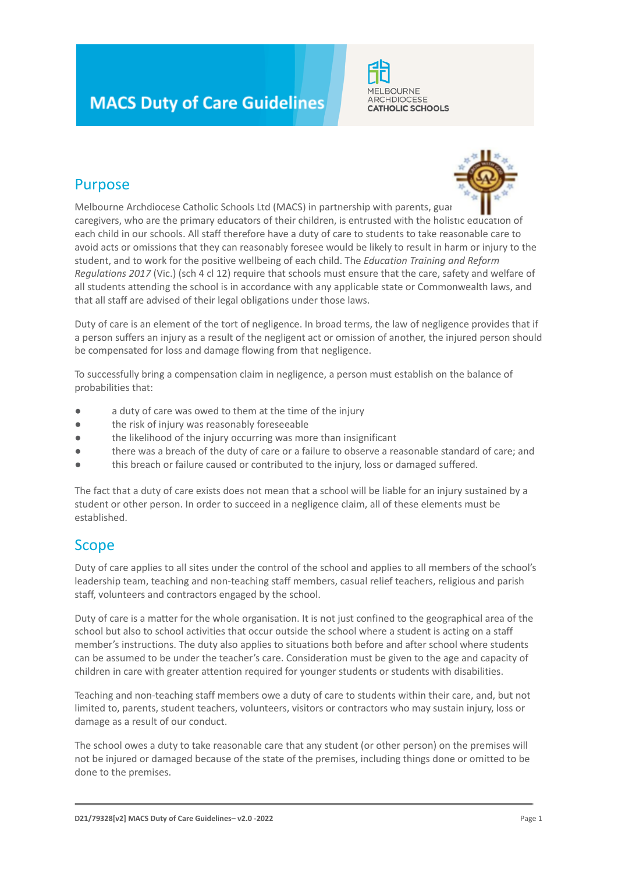# **MACS Duty of Care Guidelines**



## Purpose



Melbourne Archdiocese Catholic Schools Ltd (MACS) in partnership with parents, guar caregivers, who are the primary educators of their children, is entrusted with the holistic education of each child in our schools. All staff therefore have a duty of care to students to take reasonable care to avoid acts or omissions that they can reasonably foresee would be likely to result in harm or injury to the student, and to work for the positive wellbeing of each child. The *Education Training and Reform Regulations 2017* (Vic.) (sch 4 cl 12) require that schools must ensure that the care, safety and welfare of all students attending the school is in accordance with any applicable state or Commonwealth laws, and that all staff are advised of their legal obligations under those laws.

Duty of care is an element of the tort of negligence. In broad terms, the law of negligence provides that if a person suffers an injury as a result of the negligent act or omission of another, the injured person should be compensated for loss and damage flowing from that negligence.

To successfully bring a compensation claim in negligence, a person must establish on the balance of probabilities that:

- a duty of care was owed to them at the time of the injury
- the risk of injury was reasonably foreseeable
- the likelihood of the injury occurring was more than insignificant
- there was a breach of the duty of care or a failure to observe a reasonable standard of care; and
- this breach or failure caused or contributed to the injury, loss or damaged suffered.

The fact that a duty of care exists does not mean that a school will be liable for an injury sustained by a student or other person. In order to succeed in a negligence claim, all of these elements must be established.

#### Scope

Duty of care applies to all sites under the control of the school and applies to all members of the school's leadership team, teaching and non-teaching staff members, casual relief teachers, religious and parish staff, volunteers and contractors engaged by the school.

Duty of care is a matter for the whole organisation. It is not just confined to the geographical area of the school but also to school activities that occur outside the school where a student is acting on a staff member's instructions. The duty also applies to situations both before and after school where students can be assumed to be under the teacher's care. Consideration must be given to the age and capacity of children in care with greater attention required for younger students or students with disabilities.

Teaching and non-teaching staff members owe a duty of care to students within their care, and, but not limited to, parents, student teachers, volunteers, visitors or contractors who may sustain injury, loss or damage as a result of our conduct.

The school owes a duty to take reasonable care that any student (or other person) on the premises will not be injured or damaged because of the state of the premises, including things done or omitted to be done to the premises.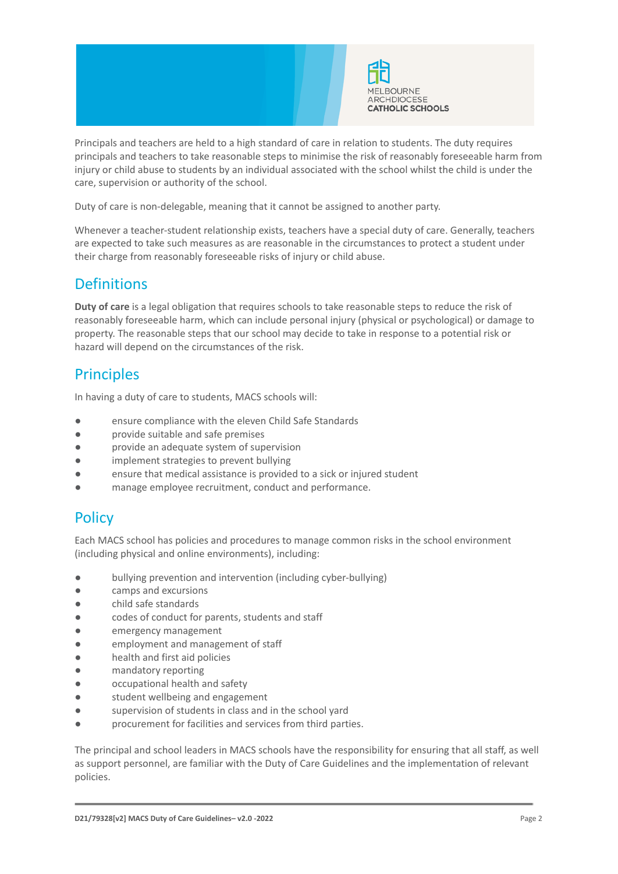



Principals and teachers are held to a high standard of care in relation to students. The duty requires principals and teachers to take reasonable steps to minimise the risk of reasonably foreseeable harm from injury or child abuse to students by an individual associated with the school whilst the child is under the care, supervision or authority of the school.

Duty of care is non-delegable, meaning that it cannot be assigned to another party.

Whenever a teacher-student relationship exists, teachers have a special duty of care. Generally, teachers are expected to take such measures as are reasonable in the circumstances to protect a student under their charge from reasonably foreseeable risks of injury or child abuse.

#### **Definitions**

**Duty of care** is a legal obligation that requires schools to take reasonable steps to reduce the risk of reasonably foreseeable harm, which can include personal injury (physical or psychological) or damage to property. The reasonable steps that our school may decide to take in response to a potential risk or hazard will depend on the circumstances of the risk.

### **Principles**

In having a duty of care to students, MACS schools will:

- ensure compliance with the eleven Child Safe Standards
- provide suitable and safe premises
- provide an adequate system of supervision
- implement strategies to prevent bullying
- ensure that medical assistance is provided to a sick or injured student
- manage employee recruitment, conduct and performance.

### **Policy**

Each MACS school has policies and procedures to manage common risks in the school environment (including physical and online environments), including:

- bullying prevention and intervention (including cyber-bullying)
- camps and excursions
- child safe standards
- codes of conduct for parents, students and staff
- emergency management
- employment and management of staff
- health and first aid policies
- mandatory reporting
- occupational health and safety
- student wellbeing and engagement
- supervision of students in class and in the school vard
- procurement for facilities and services from third parties.

The principal and school leaders in MACS schools have the responsibility for ensuring that all staff, as well as support personnel, are familiar with the Duty of Care Guidelines and the implementation of relevant policies.